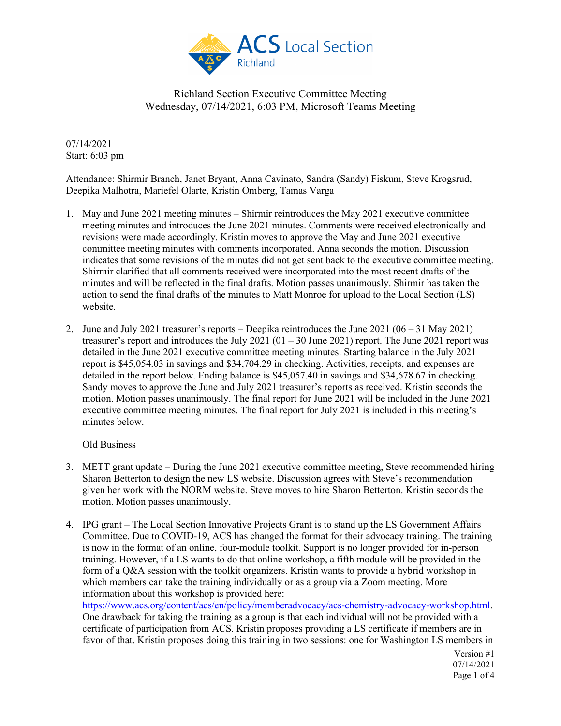

07/14/2021 Start: 6:03 pm

Attendance: Shirmir Branch, Janet Bryant, Anna Cavinato, Sandra (Sandy) Fiskum, Steve Krogsrud, Deepika Malhotra, Mariefel Olarte, Kristin Omberg, Tamas Varga

- 1. May and June 2021 meeting minutes Shirmir reintroduces the May 2021 executive committee meeting minutes and introduces the June 2021 minutes. Comments were received electronically and revisions were made accordingly. Kristin moves to approve the May and June 2021 executive committee meeting minutes with comments incorporated. Anna seconds the motion. Discussion indicates that some revisions of the minutes did not get sent back to the executive committee meeting. Shirmir clarified that all comments received were incorporated into the most recent drafts of the minutes and will be reflected in the final drafts. Motion passes unanimously. Shirmir has taken the action to send the final drafts of the minutes to Matt Monroe for upload to the Local Section (LS) website.
- 2. June and July 2021 treasurer's reports Deepika reintroduces the June 2021 (06 31 May 2021) treasurer's report and introduces the July 2021 (01 – 30 June 2021) report. The June 2021 report was detailed in the June 2021 executive committee meeting minutes. Starting balance in the July 2021 report is \$45,054.03 in savings and \$34,704.29 in checking. Activities, receipts, and expenses are detailed in the report below. Ending balance is \$45,057.40 in savings and \$34,678.67 in checking. Sandy moves to approve the June and July 2021 treasurer's reports as received. Kristin seconds the motion. Motion passes unanimously. The final report for June 2021 will be included in the June 2021 executive committee meeting minutes. The final report for July 2021 is included in this meeting's minutes below.

### Old Business

- 3. METT grant update During the June 2021 executive committee meeting, Steve recommended hiring Sharon Betterton to design the new LS website. Discussion agrees with Steve's recommendation given her work with the NORM website. Steve moves to hire Sharon Betterton. Kristin seconds the motion. Motion passes unanimously.
- 4. IPG grant The Local Section Innovative Projects Grant is to stand up the LS Government Affairs Committee. Due to COVID-19, ACS has changed the format for their advocacy training. The training is now in the format of an online, four-module toolkit. Support is no longer provided for in-person training. However, if a LS wants to do that online workshop, a fifth module will be provided in the form of a Q&A session with the toolkit organizers. Kristin wants to provide a hybrid workshop in which members can take the training individually or as a group via a Zoom meeting. More information about this workshop is provided here:

[https://www.acs.org/content/acs/en/policy/memberadvocacy/acs-chemistry-advocacy-workshop.html.](https://www.acs.org/content/acs/en/policy/memberadvocacy/acs-chemistry-advocacy-workshop.html) One drawback for taking the training as a group is that each individual will not be provided with a certificate of participation from ACS. Kristin proposes providing a LS certificate if members are in favor of that. Kristin proposes doing this training in two sessions: one for Washington LS members in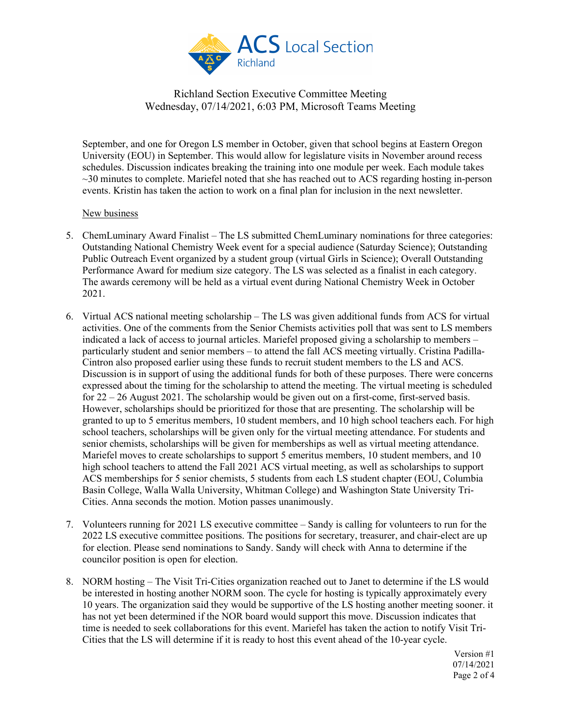

September, and one for Oregon LS member in October, given that school begins at Eastern Oregon University (EOU) in September. This would allow for legislature visits in November around recess schedules. Discussion indicates breaking the training into one module per week. Each module takes  $\sim$ 30 minutes to complete. Mariefel noted that she has reached out to ACS regarding hosting in-person events. Kristin has taken the action to work on a final plan for inclusion in the next newsletter.

#### New business

- 5. ChemLuminary Award Finalist The LS submitted ChemLuminary nominations for three categories: Outstanding National Chemistry Week event for a special audience (Saturday Science); Outstanding Public Outreach Event organized by a student group (virtual Girls in Science); Overall Outstanding Performance Award for medium size category. The LS was selected as a finalist in each category. The awards ceremony will be held as a virtual event during National Chemistry Week in October 2021.
- 6. Virtual ACS national meeting scholarship The LS was given additional funds from ACS for virtual activities. One of the comments from the Senior Chemists activities poll that was sent to LS members indicated a lack of access to journal articles. Mariefel proposed giving a scholarship to members – particularly student and senior members – to attend the fall ACS meeting virtually. Cristina Padilla-Cintron also proposed earlier using these funds to recruit student members to the LS and ACS. Discussion is in support of using the additional funds for both of these purposes. There were concerns expressed about the timing for the scholarship to attend the meeting. The virtual meeting is scheduled for  $22 - 26$  August 2021. The scholarship would be given out on a first-come, first-served basis. However, scholarships should be prioritized for those that are presenting. The scholarship will be granted to up to 5 emeritus members, 10 student members, and 10 high school teachers each. For high school teachers, scholarships will be given only for the virtual meeting attendance. For students and senior chemists, scholarships will be given for memberships as well as virtual meeting attendance. Mariefel moves to create scholarships to support 5 emeritus members, 10 student members, and 10 high school teachers to attend the Fall 2021 ACS virtual meeting, as well as scholarships to support ACS memberships for 5 senior chemists, 5 students from each LS student chapter (EOU, Columbia Basin College, Walla Walla University, Whitman College) and Washington State University Tri-Cities. Anna seconds the motion. Motion passes unanimously.
- 7. Volunteers running for 2021 LS executive committee Sandy is calling for volunteers to run for the 2022 LS executive committee positions. The positions for secretary, treasurer, and chair-elect are up for election. Please send nominations to Sandy. Sandy will check with Anna to determine if the councilor position is open for election.
- 8. NORM hosting The Visit Tri-Cities organization reached out to Janet to determine if the LS would be interested in hosting another NORM soon. The cycle for hosting is typically approximately every 10 years. The organization said they would be supportive of the LS hosting another meeting sooner. it has not yet been determined if the NOR board would support this move. Discussion indicates that time is needed to seek collaborations for this event. Mariefel has taken the action to notify Visit Tri-Cities that the LS will determine if it is ready to host this event ahead of the 10-year cycle.

Version #1 07/14/2021 Page 2 of 4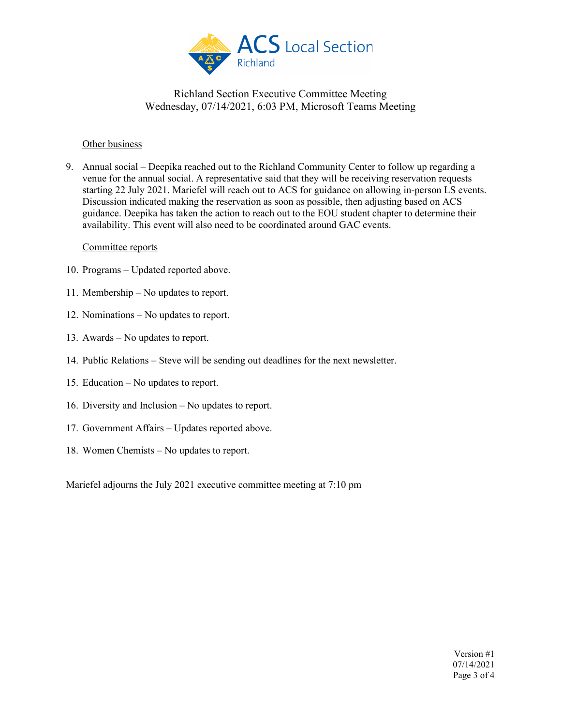

#### Other business

9. Annual social – Deepika reached out to the Richland Community Center to follow up regarding a venue for the annual social. A representative said that they will be receiving reservation requests starting 22 July 2021. Mariefel will reach out to ACS for guidance on allowing in-person LS events. Discussion indicated making the reservation as soon as possible, then adjusting based on ACS guidance. Deepika has taken the action to reach out to the EOU student chapter to determine their availability. This event will also need to be coordinated around GAC events.

#### Committee reports

- 10. Programs Updated reported above.
- 11. Membership No updates to report.
- 12. Nominations No updates to report.
- 13. Awards No updates to report.
- 14. Public Relations Steve will be sending out deadlines for the next newsletter.
- 15. Education No updates to report.
- 16. Diversity and Inclusion No updates to report.
- 17. Government Affairs Updates reported above.
- 18. Women Chemists No updates to report.

Mariefel adjourns the July 2021 executive committee meeting at 7:10 pm